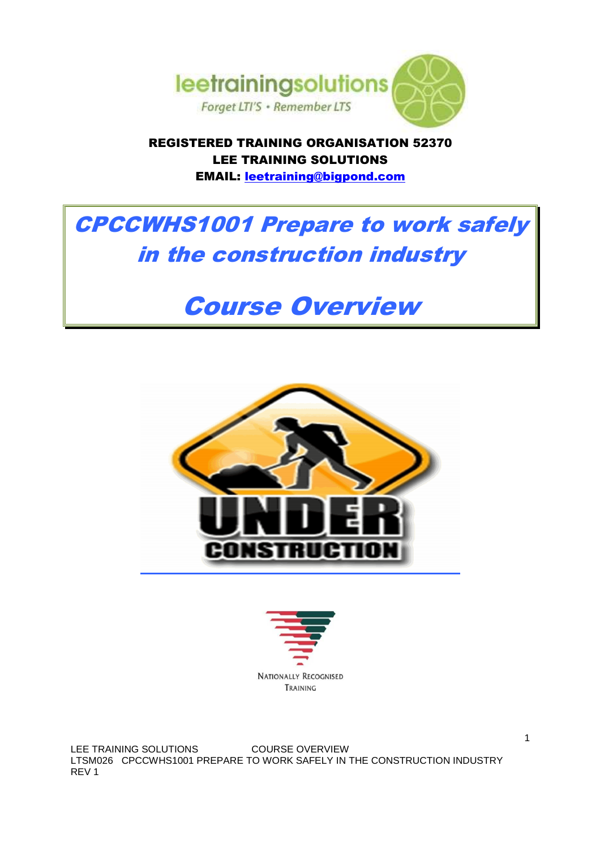

REGISTERED TRAINING ORGANISATION 52370 LEE TRAINING SOLUTIONS EMAIL: leetraining@bigpond.com

CPCCWHS1001 Prepare to work safely in the construction industry

# Course Overview





LEE TRAINING SOLUTIONS COURSE OVERVIEW LTSM026 CPCCWHS1001 PREPARE TO WORK SAFELY IN THE CONSTRUCTION INDUSTRY REV 1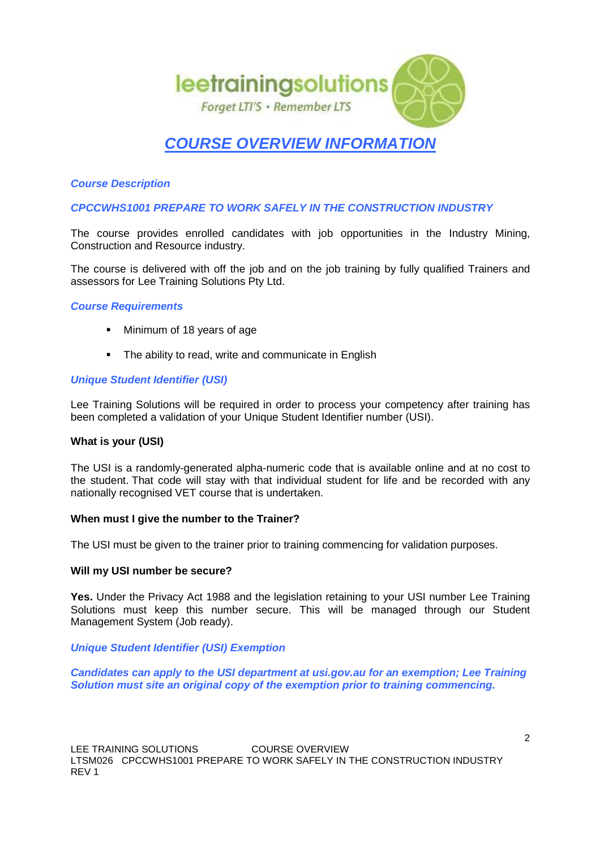

# **COURSE OVERVIEW INFORMATION**

# **Course Description**

# **CPCCWHS1001 PREPARE TO WORK SAFELY IN THE CONSTRUCTION INDUSTRY**

The course provides enrolled candidates with job opportunities in the Industry Mining, Construction and Resource industry.

The course is delivered with off the job and on the job training by fully qualified Trainers and assessors for Lee Training Solutions Pty Ltd.

#### **Course Requirements**

- Minimum of 18 years of age
- The ability to read, write and communicate in English

#### **Unique Student Identifier (USI)**

Lee Training Solutions will be required in order to process your competency after training has been completed a validation of your Unique Student Identifier number (USI).

#### **What is your (USI)**

The USI is a randomly-generated alpha-numeric code that is available online and at no cost to the student. That code will stay with that individual student for life and be recorded with any nationally recognised VET course that is undertaken.

#### **When must I give the number to the Trainer?**

The USI must be given to the trainer prior to training commencing for validation purposes.

#### **Will my USI number be secure?**

**Yes.** Under the Privacy Act 1988 and the legislation retaining to your USI number Lee Training Solutions must keep this number secure. This will be managed through our Student Management System (Job ready).

#### **Unique Student Identifier (USI) Exemption**

**Candidates can apply to the USI department at usi.gov.au for an exemption; Lee Training Solution must site an original copy of the exemption prior to training commencing.**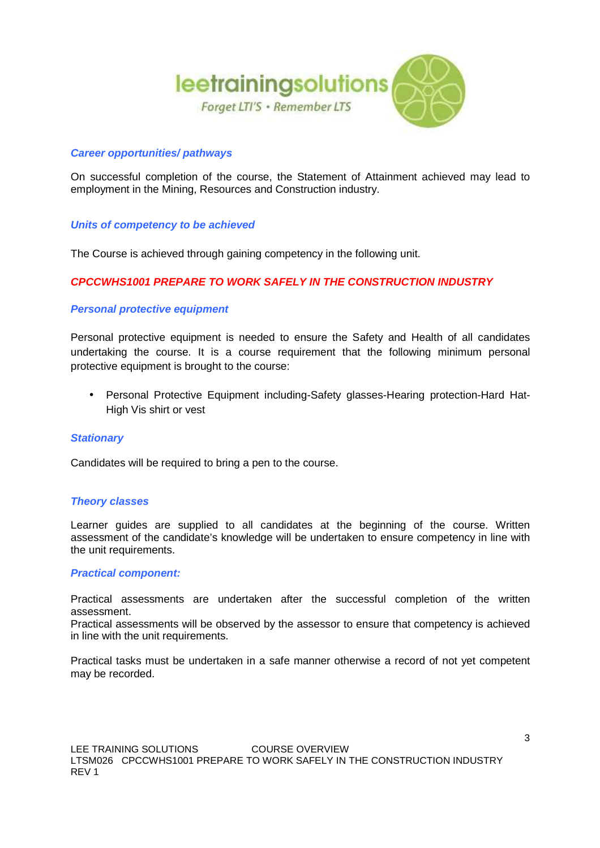

### **Career opportunities/ pathways**

On successful completion of the course, the Statement of Attainment achieved may lead to employment in the Mining, Resources and Construction industry.

#### **Units of competency to be achieved**

The Course is achieved through gaining competency in the following unit.

# **CPCCWHS1001 PREPARE TO WORK SAFELY IN THE CONSTRUCTION INDUSTRY**

# **Personal protective equipment**

Personal protective equipment is needed to ensure the Safety and Health of all candidates undertaking the course. It is a course requirement that the following minimum personal protective equipment is brought to the course:

• Personal Protective Equipment including-Safety glasses-Hearing protection-Hard Hat-High Vis shirt or vest

#### **Stationary**

Candidates will be required to bring a pen to the course.

#### **Theory classes**

Learner guides are supplied to all candidates at the beginning of the course. Written assessment of the candidate's knowledge will be undertaken to ensure competency in line with the unit requirements.

#### **Practical component:**

Practical assessments are undertaken after the successful completion of the written assessment.

Practical assessments will be observed by the assessor to ensure that competency is achieved in line with the unit requirements.

Practical tasks must be undertaken in a safe manner otherwise a record of not yet competent may be recorded.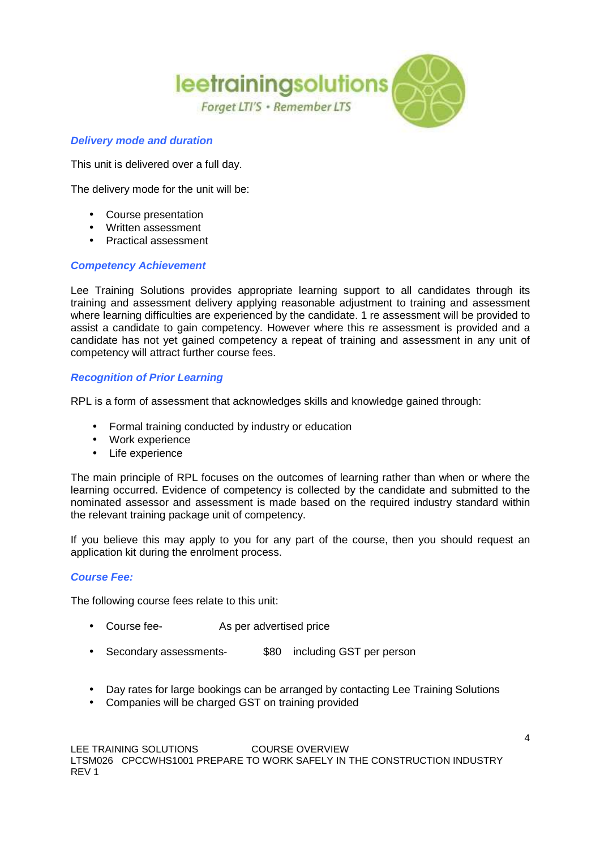

# **Delivery mode and duration**

This unit is delivered over a full day.

The delivery mode for the unit will be:

- Course presentation
- Written assessment
- Practical assessment

# **Competency Achievement**

Lee Training Solutions provides appropriate learning support to all candidates through its training and assessment delivery applying reasonable adjustment to training and assessment where learning difficulties are experienced by the candidate. 1 re assessment will be provided to assist a candidate to gain competency. However where this re assessment is provided and a candidate has not yet gained competency a repeat of training and assessment in any unit of competency will attract further course fees.

# **Recognition of Prior Learning**

RPL is a form of assessment that acknowledges skills and knowledge gained through:

- Formal training conducted by industry or education
- Work experience
- Life experience

The main principle of RPL focuses on the outcomes of learning rather than when or where the learning occurred. Evidence of competency is collected by the candidate and submitted to the nominated assessor and assessment is made based on the required industry standard within the relevant training package unit of competency.

If you believe this may apply to you for any part of the course, then you should request an application kit during the enrolment process.

#### **Course Fee:**

The following course fees relate to this unit:

- Course fee- As per advertised price
- Secondary assessments- \$80 including GST per person
- Day rates for large bookings can be arranged by contacting Lee Training Solutions
- Companies will be charged GST on training provided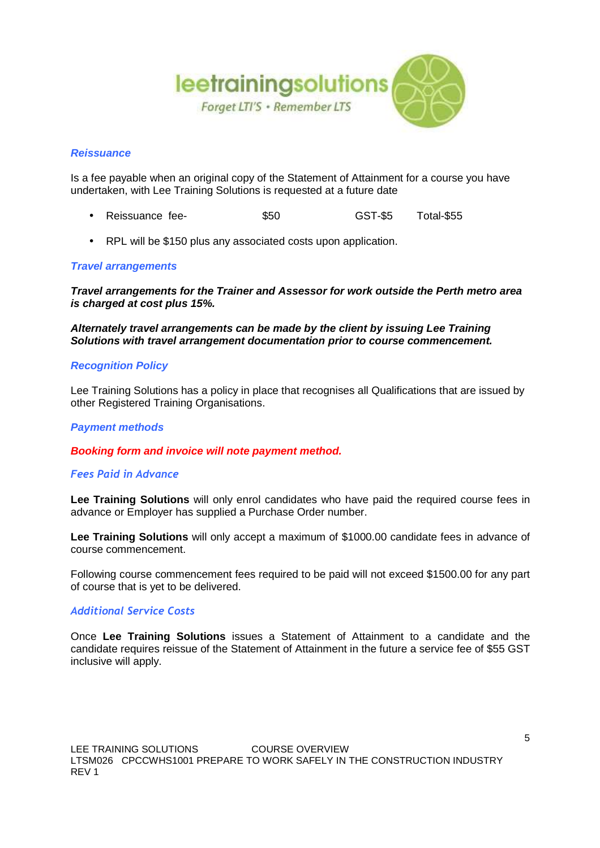

# **Reissuance**

Is a fee payable when an original copy of the Statement of Attainment for a course you have undertaken, with Lee Training Solutions is requested at a future date

- Reissuance fee- \$50 GST-\$5 Total-\$55
- RPL will be \$150 plus any associated costs upon application.

# **Travel arrangements**

**Travel arrangements for the Trainer and Assessor for work outside the Perth metro area is charged at cost plus 15%.**

**Alternately travel arrangements can be made by the client by issuing Lee Training Solutions with travel arrangement documentation prior to course commencement.**

#### **Recognition Policy**

Lee Training Solutions has a policy in place that recognises all Qualifications that are issued by other Registered Training Organisations.

### **Payment methods**

**Booking form and invoice will note payment method.**

# *Fees Paid in Advance*

**Lee Training Solutions** will only enrol candidates who have paid the required course fees in advance or Employer has supplied a Purchase Order number.

**Lee Training Solutions** will only accept a maximum of \$1000.00 candidate fees in advance of course commencement.

Following course commencement fees required to be paid will not exceed \$1500.00 for any part of course that is yet to be delivered.

#### *Additional Service Costs*

Once **Lee Training Solutions** issues a Statement of Attainment to a candidate and the candidate requires reissue of the Statement of Attainment in the future a service fee of \$55 GST inclusive will apply.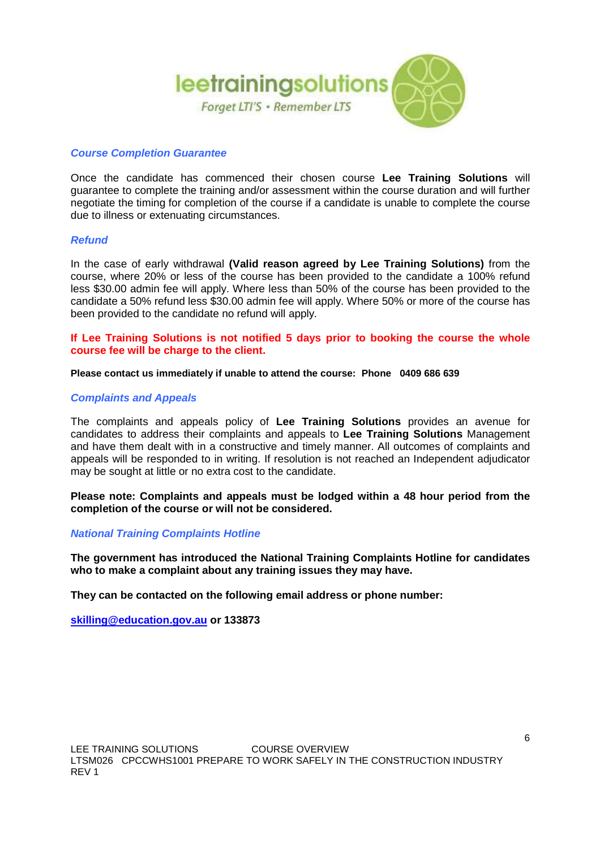

### **Course Completion Guarantee**

Once the candidate has commenced their chosen course **Lee Training Solutions** will guarantee to complete the training and/or assessment within the course duration and will further negotiate the timing for completion of the course if a candidate is unable to complete the course due to illness or extenuating circumstances.

#### **Refund**

In the case of early withdrawal **(Valid reason agreed by Lee Training Solutions)** from the course, where 20% or less of the course has been provided to the candidate a 100% refund less \$30.00 admin fee will apply. Where less than 50% of the course has been provided to the candidate a 50% refund less \$30.00 admin fee will apply. Where 50% or more of the course has been provided to the candidate no refund will apply.

**If Lee Training Solutions is not notified 5 days prior to booking the course the whole course fee will be charge to the client.**

**Please contact us immediately if unable to attend the course: Phone 0409 686 639**

#### **Complaints and Appeals**

The complaints and appeals policy of **Lee Training Solutions** provides an avenue for candidates to address their complaints and appeals to **Lee Training Solutions** Management and have them dealt with in a constructive and timely manner. All outcomes of complaints and appeals will be responded to in writing. If resolution is not reached an Independent adjudicator may be sought at little or no extra cost to the candidate.

**Please note: Complaints and appeals must be lodged within a 48 hour period from the completion of the course or will not be considered.**

#### **National Training Complaints Hotline**

**The government has introduced the National Training Complaints Hotline for candidates who to make a complaint about any training issues they may have.** 

**They can be contacted on the following email address or phone number:** 

**skilling@education.gov.au or 133873**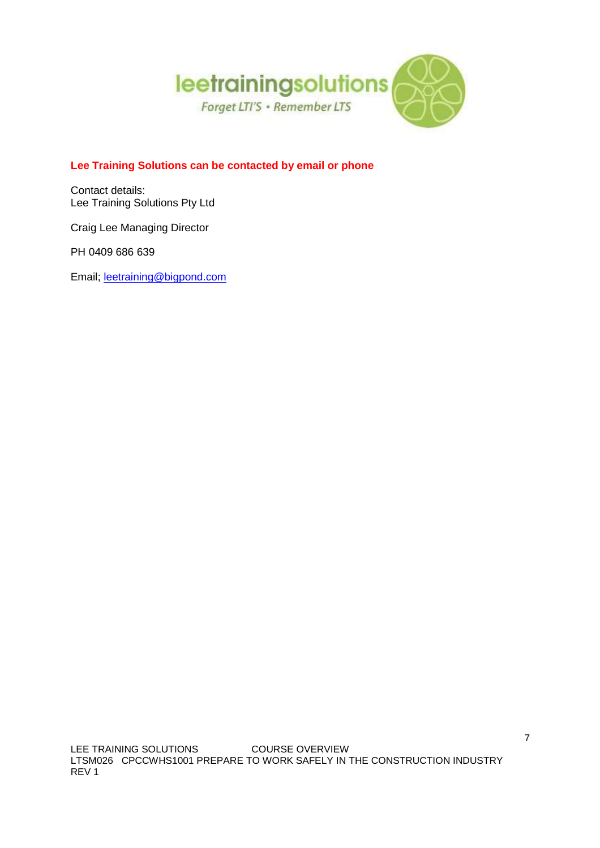

# **Lee Training Solutions can be contacted by email or phone**

Contact details: Lee Training Solutions Pty Ltd

Craig Lee Managing Director

PH 0409 686 639

Email; leetraining@bigpond.com